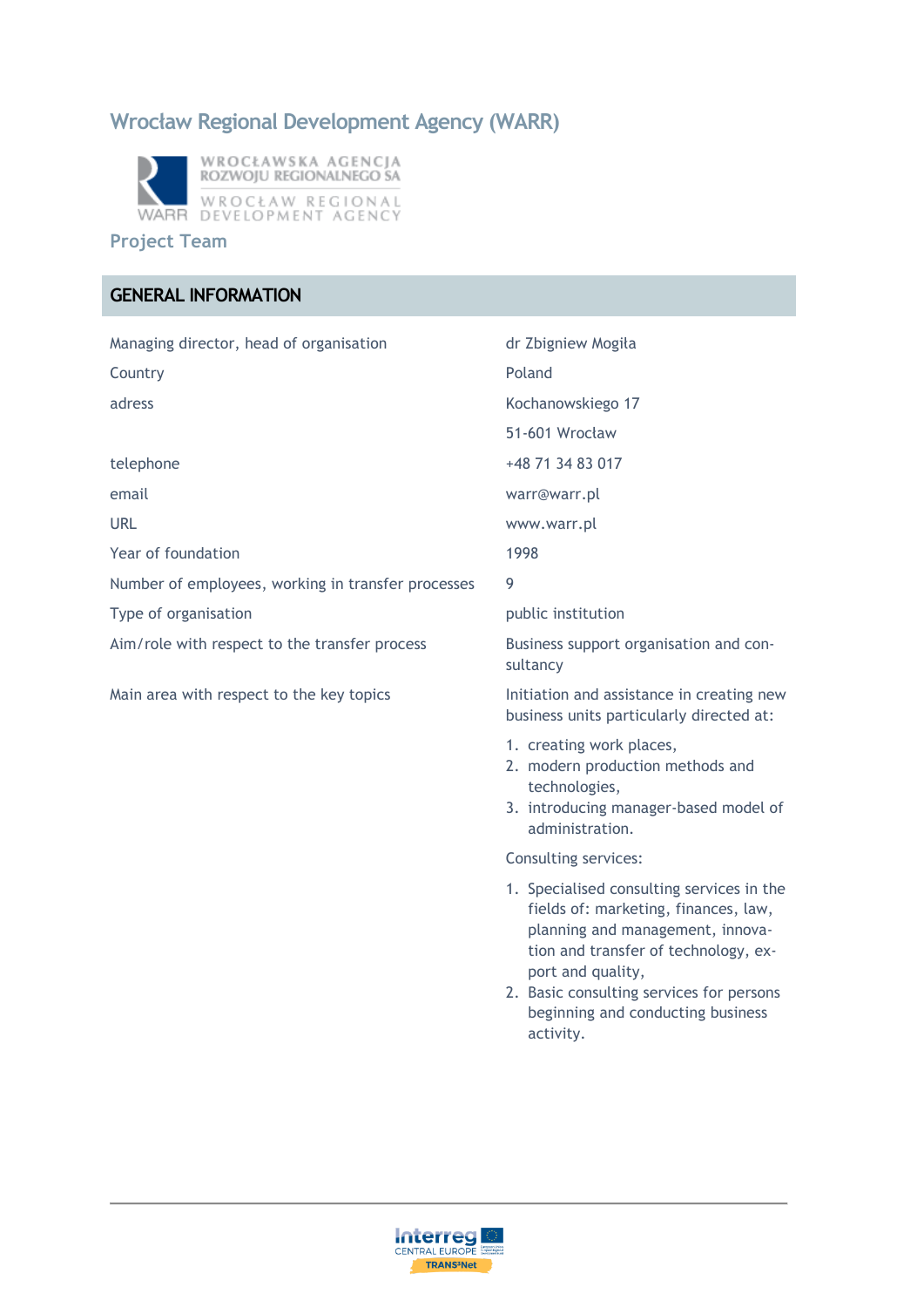# **Wrocław Regional Development Agency (WARR)**



#### **Project Team**

### **GENERAL INFORMATION**

| Managing director, head of organisation            | dr Zbigniew Mogiła                                                                                                                                                                                                                                                               |
|----------------------------------------------------|----------------------------------------------------------------------------------------------------------------------------------------------------------------------------------------------------------------------------------------------------------------------------------|
| Country                                            | Poland                                                                                                                                                                                                                                                                           |
| adress                                             | Kochanowskiego 17                                                                                                                                                                                                                                                                |
|                                                    | 51-601 Wrocław                                                                                                                                                                                                                                                                   |
| telephone                                          | +48 71 34 83 017                                                                                                                                                                                                                                                                 |
| email                                              | warr@warr.pl                                                                                                                                                                                                                                                                     |
| <b>URL</b>                                         | www.warr.pl                                                                                                                                                                                                                                                                      |
| Year of foundation                                 | 1998                                                                                                                                                                                                                                                                             |
| Number of employees, working in transfer processes | 9                                                                                                                                                                                                                                                                                |
| Type of organisation                               | public institution                                                                                                                                                                                                                                                               |
| Aim/role with respect to the transfer process      | Business support organisation and con-<br>sultancy                                                                                                                                                                                                                               |
| Main area with respect to the key topics           | Initiation and assistance in creating new<br>business units particularly directed at:                                                                                                                                                                                            |
|                                                    | 1. creating work places,<br>2. modern production methods and<br>technologies,<br>3. introducing manager-based model of<br>administration.                                                                                                                                        |
|                                                    | Consulting services:                                                                                                                                                                                                                                                             |
|                                                    | 1. Specialised consulting services in the<br>fields of: marketing, finances, law,<br>planning and management, innova-<br>tion and transfer of technology, ex-<br>port and quality,<br>2. Basic consulting services for persons<br>beginning and conducting business<br>activity. |